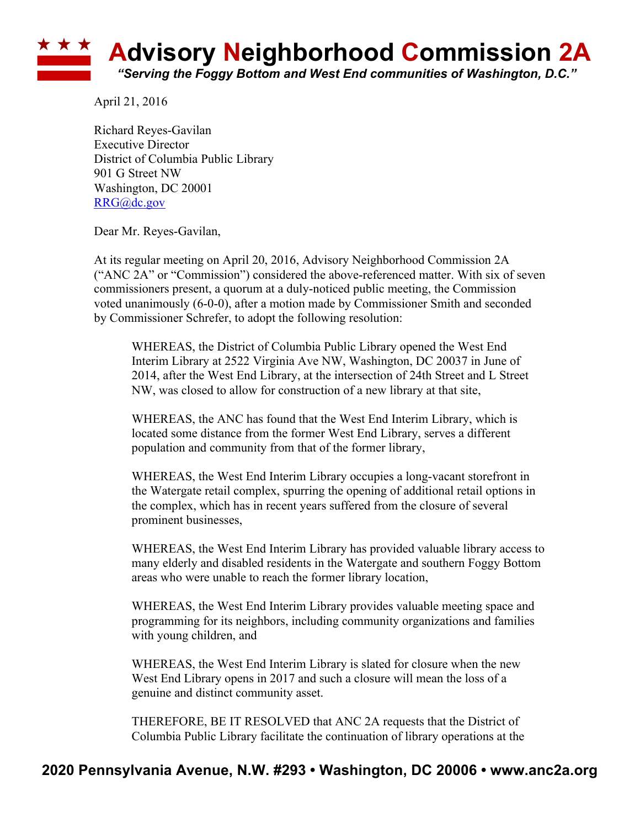## ★ ★ ★ **Advisory Neighborhood Commission 2A** *"Serving the Foggy Bottom and West End communities of Washington, D.C."*

April 21, 2016

Richard Reyes-Gavilan Executive Director District of Columbia Public Library 901 G Street NW Washington, DC 20001 RRG@dc.gov

Dear Mr. Reyes-Gavilan,

At its regular meeting on April 20, 2016, Advisory Neighborhood Commission 2A ("ANC 2A" or "Commission") considered the above-referenced matter. With six of seven commissioners present, a quorum at a duly-noticed public meeting, the Commission voted unanimously (6-0-0), after a motion made by Commissioner Smith and seconded by Commissioner Schrefer, to adopt the following resolution:

WHEREAS, the District of Columbia Public Library opened the West End Interim Library at 2522 Virginia Ave NW, Washington, DC 20037 in June of 2014, after the West End Library, at the intersection of 24th Street and L Street NW, was closed to allow for construction of a new library at that site,

WHEREAS, the ANC has found that the West End Interim Library, which is located some distance from the former West End Library, serves a different population and community from that of the former library,

WHEREAS, the West End Interim Library occupies a long-vacant storefront in the Watergate retail complex, spurring the opening of additional retail options in the complex, which has in recent years suffered from the closure of several prominent businesses,

WHEREAS, the West End Interim Library has provided valuable library access to many elderly and disabled residents in the Watergate and southern Foggy Bottom areas who were unable to reach the former library location,

WHEREAS, the West End Interim Library provides valuable meeting space and programming for its neighbors, including community organizations and families with young children, and

WHEREAS, the West End Interim Library is slated for closure when the new West End Library opens in 2017 and such a closure will mean the loss of a genuine and distinct community asset.

THEREFORE, BE IT RESOLVED that ANC 2A requests that the District of Columbia Public Library facilitate the continuation of library operations at the